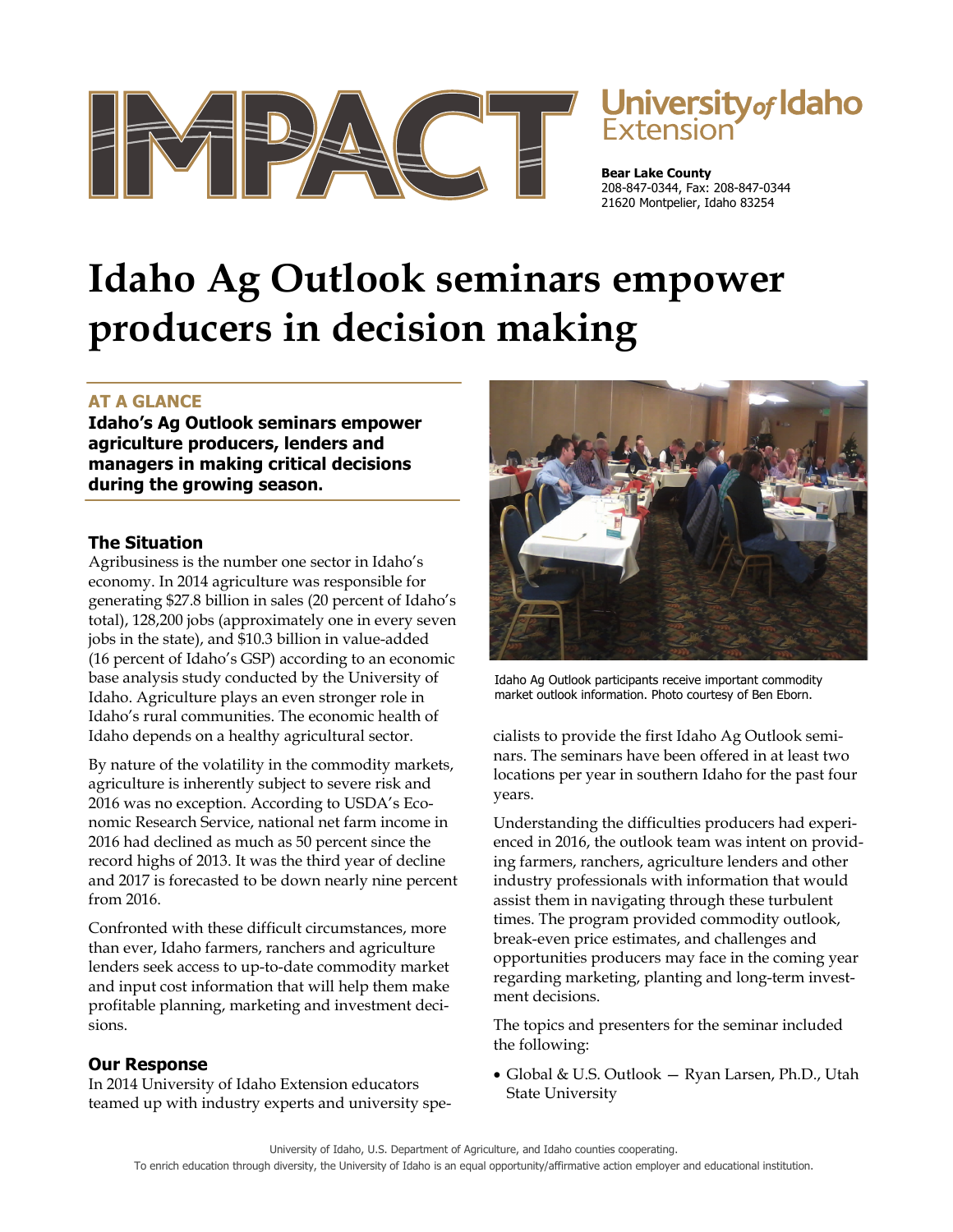



**Bear Lake County** 208-847-0344, Fax: 208-847-0344 21620 Montpelier, Idaho 83254

# **Idaho Ag Outlook seminars empower producers in decision making**

## **AT A GLANCE**

**Idaho's Ag Outlook seminars empower agriculture producers, lenders and managers in making critical decisions during the growing season.** 

## **The Situation**

Agribusiness is the number one sector in Idaho's economy. In 2014 agriculture was responsible for generating \$27.8 billion in sales (20 percent of Idaho's total), 128,200 jobs (approximately one in every seven jobs in the state), and \$10.3 billion in value-added (16 percent of Idaho's GSP) according to an economic base analysis study conducted by the University of Idaho. Agriculture plays an even stronger role in Idaho's rural communities. The economic health of Idaho depends on a healthy agricultural sector.

By nature of the volatility in the commodity markets, agriculture is inherently subject to severe risk and 2016 was no exception. According to USDA's Economic Research Service, national net farm income in 2016 had declined as much as 50 percent since the record highs of 2013. It was the third year of decline and 2017 is forecasted to be down nearly nine percent from 2016.

Confronted with these difficult circumstances, more than ever, Idaho farmers, ranchers and agriculture lenders seek access to up-to-date commodity market and input cost information that will help them make profitable planning, marketing and investment decisions.

## **Our Response**

In 2014 University of Idaho Extension educators teamed up with industry experts and university spe-



Idaho Ag Outlook participants receive important commodity market outlook information. Photo courtesy of Ben Eborn.

cialists to provide the first Idaho Ag Outlook seminars. The seminars have been offered in at least two locations per year in southern Idaho for the past four years.

Understanding the difficulties producers had experienced in 2016, the outlook team was intent on providing farmers, ranchers, agriculture lenders and other industry professionals with information that would assist them in navigating through these turbulent times. The program provided commodity outlook, break-even price estimates, and challenges and opportunities producers may face in the coming year regarding marketing, planting and long-term investment decisions.

The topics and presenters for the seminar included the following:

Global & U.S. Outlook — Ryan Larsen, Ph.D., Utah State University